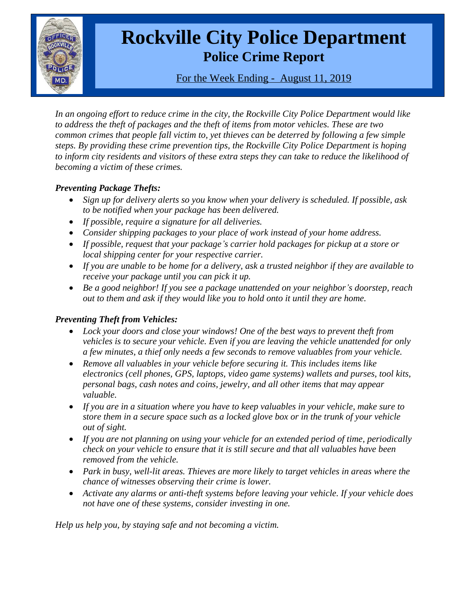

# **Rockville City Police Department Police Crime Report**

For the Week Ending - August 11, 2019

*In an ongoing effort to reduce crime in the city, the Rockville City Police Department would like to address the theft of packages and the theft of items from motor vehicles. These are two common crimes that people fall victim to, yet thieves can be deterred by following a few simple steps. By providing these crime prevention tips, the Rockville City Police Department is hoping to inform city residents and visitors of these extra steps they can take to reduce the likelihood of becoming a victim of these crimes.*

## *Preventing Package Thefts:*

- *Sign up for delivery alerts so you know when your delivery is scheduled. If possible, ask to be notified when your package has been delivered.*
- *If possible, require a signature for all deliveries.*
- *Consider shipping packages to your place of work instead of your home address.*
- *If possible, request that your package's carrier hold packages for pickup at a store or local shipping center for your respective carrier.*
- *If you are unable to be home for a delivery, ask a trusted neighbor if they are available to receive your package until you can pick it up.*
- *Be a good neighbor! If you see a package unattended on your neighbor's doorstep, reach out to them and ask if they would like you to hold onto it until they are home.*

## *Preventing Theft from Vehicles:*

- *Lock your doors and close your windows! One of the best ways to prevent theft from vehicles is to secure your vehicle. Even if you are leaving the vehicle unattended for only a few minutes, a thief only needs a few seconds to remove valuables from your vehicle.*
- *Remove all valuables in your vehicle before securing it. This includes items like electronics (cell phones, GPS, laptops, video game systems) wallets and purses, tool kits, personal bags, cash notes and coins, jewelry, and all other items that may appear valuable.*
- *If you are in a situation where you have to keep valuables in your vehicle, make sure to store them in a secure space such as a locked glove box or in the trunk of your vehicle out of sight.*
- *If you are not planning on using your vehicle for an extended period of time, periodically check on your vehicle to ensure that it is still secure and that all valuables have been removed from the vehicle.*
- *Park in busy, well-lit areas. Thieves are more likely to target vehicles in areas where the chance of witnesses observing their crime is lower.*
- *Activate any alarms or anti-theft systems before leaving your vehicle. If your vehicle does not have one of these systems, consider investing in one.*

*Help us help you, by staying safe and not becoming a victim.*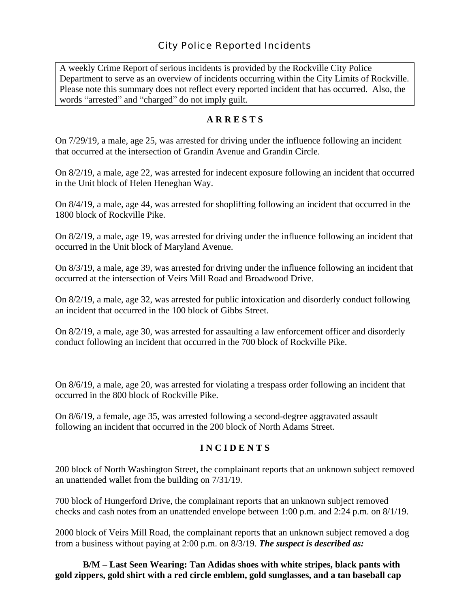A weekly Crime Report of serious incidents is provided by the Rockville City Police Department to serve as an overview of incidents occurring within the City Limits of Rockville. Please note this summary does not reflect every reported incident that has occurred. Also, the words "arrested" and "charged" do not imply guilt.

#### **A R R E S T S**

On 7/29/19, a male, age 25, was arrested for driving under the influence following an incident that occurred at the intersection of Grandin Avenue and Grandin Circle.

On 8/2/19, a male, age 22, was arrested for indecent exposure following an incident that occurred in the Unit block of Helen Heneghan Way.

On 8/4/19, a male, age 44, was arrested for shoplifting following an incident that occurred in the 1800 block of Rockville Pike.

On 8/2/19, a male, age 19, was arrested for driving under the influence following an incident that occurred in the Unit block of Maryland Avenue.

On 8/3/19, a male, age 39, was arrested for driving under the influence following an incident that occurred at the intersection of Veirs Mill Road and Broadwood Drive.

On 8/2/19, a male, age 32, was arrested for public intoxication and disorderly conduct following an incident that occurred in the 100 block of Gibbs Street.

On 8/2/19, a male, age 30, was arrested for assaulting a law enforcement officer and disorderly conduct following an incident that occurred in the 700 block of Rockville Pike.

On 8/6/19, a male, age 20, was arrested for violating a trespass order following an incident that occurred in the 800 block of Rockville Pike.

On 8/6/19, a female, age 35, was arrested following a second-degree aggravated assault following an incident that occurred in the 200 block of North Adams Street.

#### **I N C I D E N T S**

200 block of North Washington Street, the complainant reports that an unknown subject removed an unattended wallet from the building on 7/31/19.

700 block of Hungerford Drive, the complainant reports that an unknown subject removed checks and cash notes from an unattended envelope between 1:00 p.m. and 2:24 p.m. on 8/1/19.

2000 block of Veirs Mill Road, the complainant reports that an unknown subject removed a dog from a business without paying at 2:00 p.m. on 8/3/19. *The suspect is described as:*

**B/M – Last Seen Wearing: Tan Adidas shoes with white stripes, black pants with gold zippers, gold shirt with a red circle emblem, gold sunglasses, and a tan baseball cap**